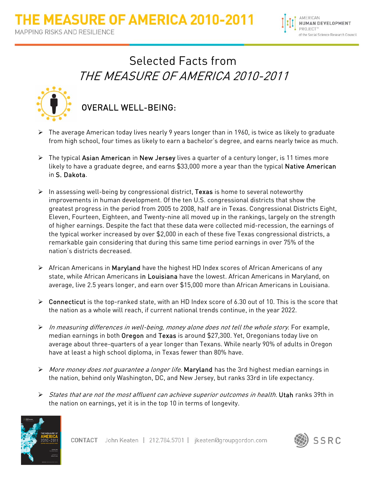

## Selected Facts from THE MEASURE OF AMERICA 2010-2011



## OVERALL WELL-BEING:

- $\triangleright$  The average American today lives nearly 9 years longer than in 1960, is twice as likely to graduate from high school, four times as likely to earn a bachelor's degree, and earns nearly twice as much.
- $\triangleright$  The typical Asian American in New Jersey lives a quarter of a century longer, is 11 times more likely to have a graduate degree, and earns \$33,000 more a year than the typical **Native American** in S. Dakota.
- $\triangleright$  In assessing well-being by congressional district, Texas is home to several noteworthy improvements in human development. Of the ten U.S. congressional districts that show the greatest progress in the period from 2005 to 2008, half are in Texas. Congressional Districts Eight, Eleven, Fourteen, Eighteen, and Twenty-nine all moved up in the rankings, largely on the strength of higher earnings. Despite the fact that these data were collected mid-recession, the earnings of the typical worker increased by over \$2,000 in each of these five Texas congressional districts, a remarkable gain considering that during this same time period earnings in over 75% of the nation's districts decreased.
- African Americans in Maryland have the highest HD Index scores of African Americans of any state, while African Americans in Louisiana have the lowest. African Americans in Maryland, on average, live 2.5 years longer, and earn over \$15,000 more than African Americans in Louisiana.
- $\triangleright$  Connecticut is the top-ranked state, with an HD Index score of 6.30 out of 10. This is the score that the nation as a whole will reach, if current national trends continue, in the year 2022.
- $\triangleright$  In measuring differences in well-being, money alone does not tell the whole story. For example, median earnings in both Oregon and Texas is around \$27,300. Yet, Oregonians today live on average about three-quarters of a year longer than Texans. While nearly 90% of adults in Oregon have at least a high school diploma, in Texas fewer than 80% have.
- $\triangleright$  More money does not guarantee a longer life. Maryland has the 3rd highest median earnings in the nation, behind only Washington, DC, and New Jersey, but ranks 33rd in life expectancy.
- States that are not the most affluent can achieve superior outcomes in health. Utah ranks 39th in the nation on earnings, yet it is in the top 10 in terms of longevity.



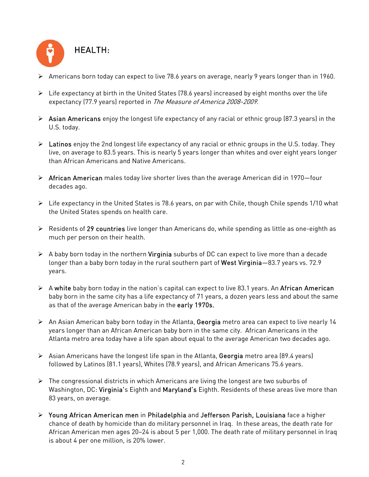

- Americans born today can expect to live 78.6 years on average, nearly 9 years longer than in 1960.
- $\triangleright$  Life expectancy at birth in the United States (78.6 years) increased by eight months over the life expectancy (77.9 years) reported in The Measure of America 2008-2009.
- $\triangleright$  Asian Americans enjoy the longest life expectancy of any racial or ethnic group (87.3 years) in the U.S. today.
- $\triangleright$  Latinos enjoy the 2nd longest life expectancy of any racial or ethnic groups in the U.S. today. They live, on average to 83.5 years. This is nearly 5 years longer than whites and over eight years longer than African Americans and Native Americans.
- $\triangleright$  African American males today live shorter lives than the average American did in 1970–four decades ago.
- $\triangleright$  Life expectancy in the United States is 78.6 years, on par with Chile, though Chile spends 1/10 what the United States spends on health care.
- $\triangleright$  Residents of 29 countries live longer than Americans do, while spending as little as one-eighth as much per person on their health.
- $\triangleright$  A baby born today in the northern **Virginia** suburbs of DC can expect to live more than a decade longer than a baby born today in the rural southern part of West Virginia-83.7 years vs. 72.9 years.
- $\triangleright$  A white baby born today in the nation's capital can expect to live 83.1 years. An African American baby born in the same city has a life expectancy of 71 years, a dozen years less and about the same as that of the average American baby in the early 1970s.
- An Asian American baby born today in the Atlanta, Georgia metro area can expect to live nearly 14 years longer than an African American baby born in the same city. African Americans in the Atlanta metro area today have a life span about equal to the average American two decades ago.
- $\triangleright$  Asian Americans have the longest life span in the Atlanta, Georgia metro area (89.4 years) followed by Latinos (81.1 years), Whites (78.9 years), and African Americans 75.6 years.
- $\triangleright$  The congressional districts in which Americans are living the longest are two suburbs of Washington, DC: Virginia's Eighth and Maryland's Eighth. Residents of these areas live more than 83 years, on average.
- Young African American men in Philadelphia and Jefferson Parish, Louisiana face a higher chance of death by homicide than do military personnel in Iraq. In these areas, the death rate for African American men ages 20–24 is about 5 per 1,000. The death rate of military personnel in Iraq is about 4 per one million, is 20% lower.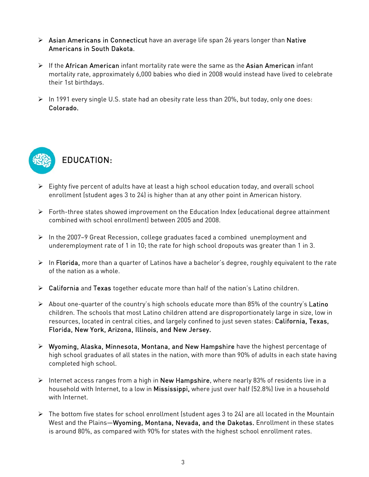- $\triangleright$  Asian Americans in Connecticut have an average life span 26 years longer than Native Americans in South Dakota.
- $\triangleright$  If the African American infant mortality rate were the same as the Asian American infant mortality rate, approximately 6,000 babies who died in 2008 would instead have lived to celebrate their 1st birthdays.
- $\triangleright$  In 1991 every single U.S. state had an obesity rate less than 20%, but today, only one does: Colorado.



- $\triangleright$  Eighty five percent of adults have at least a high school education today, and overall school enrollment (student ages 3 to 24) is higher than at any other point in American history.
- Forth-three states showed improvement on the Education Index (educational degree attainment combined with school enrollment) between 2005 and 2008.
- $\triangleright$  In the 2007–9 Great Recession, college graduates faced a combined unemployment and underemployment rate of 1 in 10; the rate for high school dropouts was greater than 1 in 3.
- $\triangleright$  In Florida, more than a quarter of Latinos have a bachelor's degree, roughly equivalent to the rate of the nation as a whole.
- $\triangleright$  California and Texas together educate more than half of the nation's Latino children.
- $\triangleright$  About one-quarter of the country's high schools educate more than 85% of the country's Latino children. The schools that most Latino children attend are disproportionately large in size, low in resources, located in central cities, and largely confined to just seven states: California, Texas, Florida, New York, Arizona, Illinois, and New Jersey.
- $\triangleright$  Wyoming, Alaska, Minnesota, Montana, and New Hampshire have the highest percentage of high school graduates of all states in the nation, with more than 90% of adults in each state having completed high school.
- Internet access ranges from a high in **New Hampshire**, where nearly 83% of residents live in a household with Internet, to a low in Mississippi, where just over half (52.8%) live in a household with Internet.
- $\triangleright$  The bottom five states for school enrollment (student ages 3 to 24) are all located in the Mountain West and the Plains—Wyoming, Montana, Nevada, and the Dakotas. Enrollment in these states is around 80%, as compared with 90% for states with the highest school enrollment rates.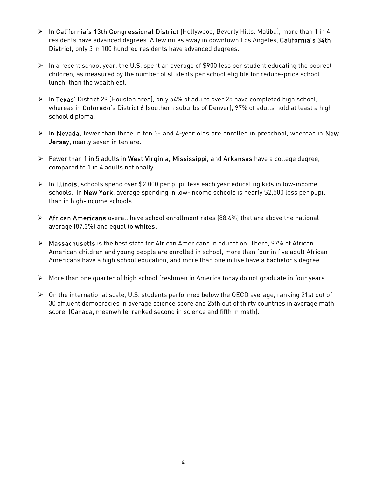- > In California's 13th Congressional District (Hollywood, Beverly Hills, Malibu), more than 1 in 4 residents have advanced degrees. A few miles away in downtown Los Angeles, California's 34th District, only 3 in 100 hundred residents have advanced degrees.
- $\triangleright$  In a recent school year, the U.S. spent an average of \$900 less per student educating the poorest children, as measured by the number of students per school eligible for reduce-price school lunch, than the wealthiest.
- ▶ In Texas' District 29 (Houston area), only 54% of adults over 25 have completed high school, whereas in Colorado's District 6 (southern suburbs of Denver), 97% of adults hold at least a high school diploma.
- $\triangleright$  In Nevada, fewer than three in ten 3- and 4-year olds are enrolled in preschool, whereas in New Jersey, nearly seven in ten are.
- Fewer than 1 in 5 adults in West Virginia, Mississippi, and Arkansas have a college degree, compared to 1 in 4 adults nationally.
- $\triangleright$  In Illinois, schools spend over \$2,000 per pupil less each year educating kids in low-income schools. In New York, average spending in low-income schools is nearly \$2,500 less per pupil than in high-income schools.
- $\triangleright$  African Americans overall have school enrollment rates (88.6%) that are above the national average (87.3%) and equal to whites.
- $\triangleright$  Massachusetts is the best state for African Americans in education. There, 97% of African American children and young people are enrolled in school, more than four in five adult African Americans have a high school education, and more than one in five have a bachelor's degree.
- More than one quarter of high school freshmen in America today do not graduate in four years.
- On the international scale, U.S. students performed below the OECD average, ranking 21st out of 30 affluent democracies in average science score and 25th out of thirty countries in average math score. (Canada, meanwhile, ranked second in science and fifth in math).